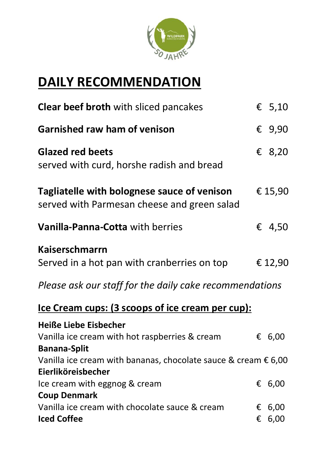

## **DAILY RECOMMENDATION**

| Clear beef broth with sliced pancakes                                                      |   | € $5,10$        |
|--------------------------------------------------------------------------------------------|---|-----------------|
| <b>Garnished raw ham of venison</b>                                                        |   | € $9,90$        |
| <b>Glazed red beets</b><br>served with curd, horshe radish and bread                       |   | € 8,20          |
| Tagliatelle with bolognese sauce of venison<br>served with Parmesan cheese and green salad |   | €15,90          |
| Vanilla-Panna-Cotta with berries                                                           |   | € 4,50          |
| <b>Kaiserschmarrn</b>                                                                      |   |                 |
| Served in a hot pan with cranberries on top                                                |   | € 12,90         |
| Please ask our staff for the daily cake recommendations                                    |   |                 |
| <u>Ice Cream cups: (3 scoops of ice cream per cup):</u>                                    |   |                 |
| <b>Heiße Liebe Eisbecher</b>                                                               |   |                 |
| Vanilla ice cream with hot raspberries & cream                                             |   | € 6,00          |
| <b>Banana-Split</b>                                                                        |   |                 |
| Vanilla ice cream with bananas, chocolate sauce & cream $\epsilon$ 6,00                    |   |                 |
| Eierliköreisbecher                                                                         |   |                 |
| Ice cream with eggnog & cream                                                              |   | € 6,00          |
| <b>Coup Denmark</b>                                                                        |   |                 |
| Vanilla ice cream with chocolate sauce & cream                                             |   | $\epsilon$ 6,00 |
| <b>Iced Coffee</b>                                                                         | € | 6,00            |